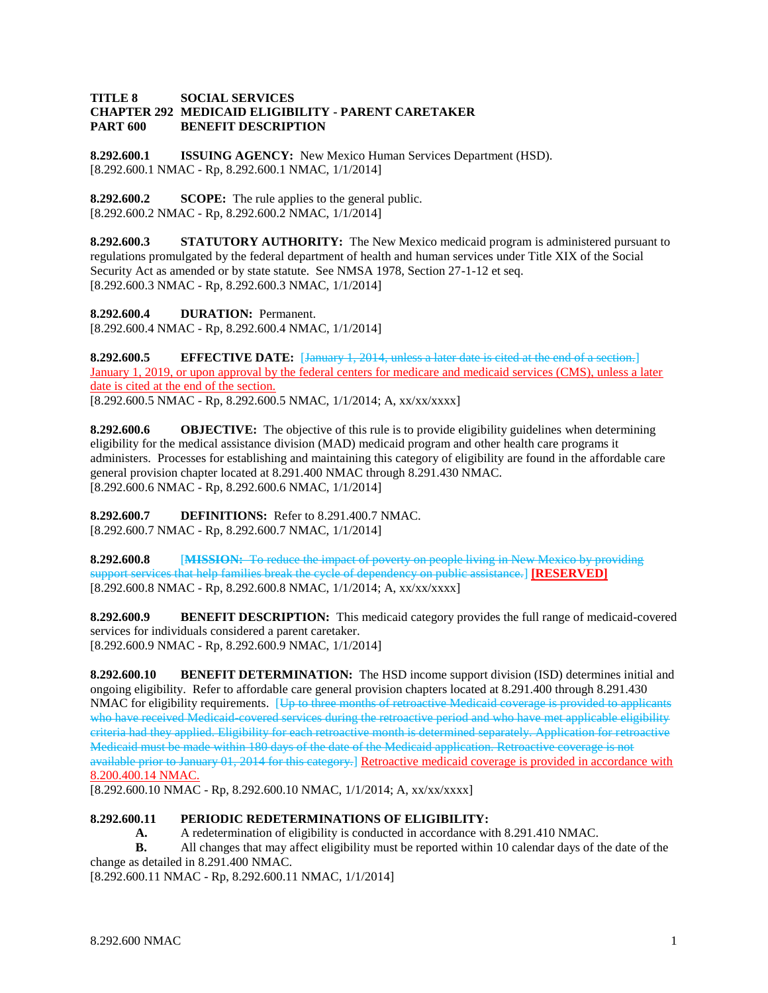## **TITLE 8 SOCIAL SERVICES CHAPTER 292 MEDICAID ELIGIBILITY - PARENT CARETAKER PART 600 BENEFIT DESCRIPTION**

**8.292.600.1 ISSUING AGENCY:** New Mexico Human Services Department (HSD). [8.292.600.1 NMAC - Rp, 8.292.600.1 NMAC, 1/1/2014]

**8.292.600.2 SCOPE:** The rule applies to the general public. [8.292.600.2 NMAC - Rp, 8.292.600.2 NMAC, 1/1/2014]

**8.292.600.3 STATUTORY AUTHORITY:** The New Mexico medicaid program is administered pursuant to regulations promulgated by the federal department of health and human services under Title XIX of the Social Security Act as amended or by state statute. See NMSA 1978, Section 27-1-12 et seq. [8.292.600.3 NMAC - Rp, 8.292.600.3 NMAC, 1/1/2014]

**8.292.600.4 DURATION:** Permanent. [8.292.600.4 NMAC - Rp, 8.292.600.4 NMAC, 1/1/2014]

**8.292.600.5 EFFECTIVE DATE:** [January 1, 2014, unless a later date is cited at the end of a section.] January 1, 2019, or upon approval by the federal centers for medicare and medicaid services (CMS), unless a later date is cited at the end of the section. [8.292.600.5 NMAC - Rp, 8.292.600.5 NMAC, 1/1/2014; A, xx/xx/xxxx]

**8.292.600.6 OBJECTIVE:** The objective of this rule is to provide eligibility guidelines when determining eligibility for the medical assistance division (MAD) medicaid program and other health care programs it administers. Processes for establishing and maintaining this category of eligibility are found in the affordable care general provision chapter located at 8.291.400 NMAC through 8.291.430 NMAC. [8.292.600.6 NMAC - Rp, 8.292.600.6 NMAC, 1/1/2014]

**8.292.600.7 DEFINITIONS:** Refer to 8.291.400.7 NMAC. [8.292.600.7 NMAC - Rp, 8.292.600.7 NMAC, 1/1/2014]

**8.292.600.8** [**MISSION:** To reduce the impact of poverty on people living in New Mexico by providing support services that help families break the cycle of dependency on public assistance.] **[RESERVED]** [8.292.600.8 NMAC - Rp, 8.292.600.8 NMAC, 1/1/2014; A, xx/xx/xxxx]

**8.292.600.9 BENEFIT DESCRIPTION:** This medicaid category provides the full range of medicaid-covered services for individuals considered a parent caretaker. [8.292.600.9 NMAC - Rp, 8.292.600.9 NMAC, 1/1/2014]

**8.292.600.10 BENEFIT DETERMINATION:** The HSD income support division (ISD) determines initial and ongoing eligibility. Refer to affordable care general provision chapters located at 8.291.400 through 8.291.430 NMAC for eligibility requirements. [Up to three months of retroactive Medicaid coverage is provided to applica who have received Medicaid-covered services during the retroactive period and who have met applicable eligibility criteria had they applied. Eligibility for each retroactive month is determined separately. Application for retroactive Medicaid must be made within 180 days of the date of the Medicaid application. Retroactive coverage is not available prior to January 01, 2014 for this category.] Retroactive medicaid coverage is provided in accordance with 8.200.400.14 NMAC.

[8.292.600.10 NMAC - Rp, 8.292.600.10 NMAC, 1/1/2014; A, xx/xx/xxxx]

## **8.292.600.11 PERIODIC REDETERMINATIONS OF ELIGIBILITY:**

**A.** A redetermination of eligibility is conducted in accordance with 8.291.410 NMAC.

**B.** All changes that may affect eligibility must be reported within 10 calendar days of the date of the change as detailed in 8.291.400 NMAC.

[8.292.600.11 NMAC - Rp, 8.292.600.11 NMAC, 1/1/2014]